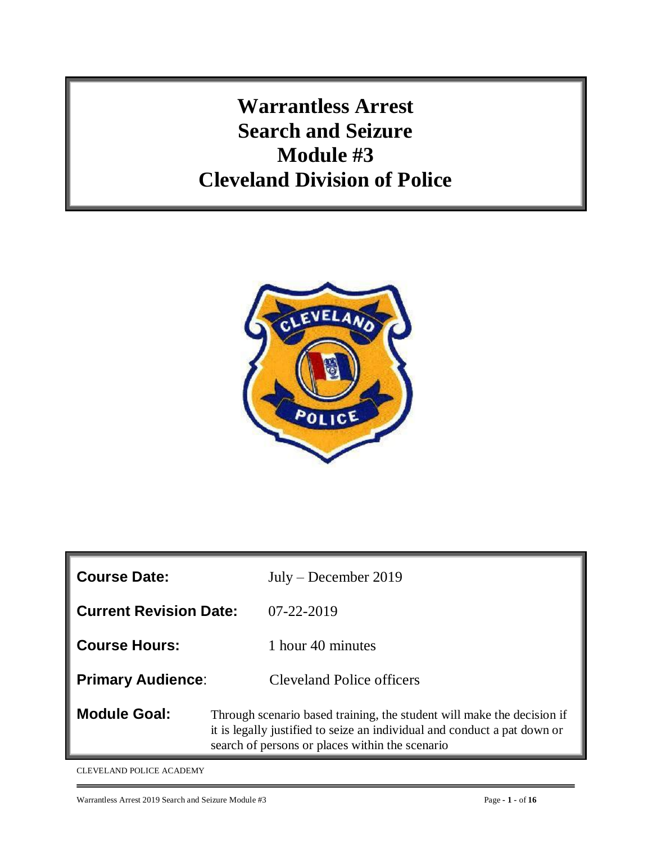**Warrantless Arrest Search and Seizure Module #3 Cleveland Division of Police**



| <b>Course Date:</b>           | $July - December 2019$                                                                                                                                                                                |
|-------------------------------|-------------------------------------------------------------------------------------------------------------------------------------------------------------------------------------------------------|
| <b>Current Revision Date:</b> | $07 - 22 - 2019$                                                                                                                                                                                      |
| <b>Course Hours:</b>          | 1 hour 40 minutes                                                                                                                                                                                     |
| <b>Primary Audience:</b>      | <b>Cleveland Police officers</b>                                                                                                                                                                      |
| <b>Module Goal:</b>           | Through scenario based training, the student will make the decision if<br>it is legally justified to seize an individual and conduct a pat down or<br>search of persons or places within the scenario |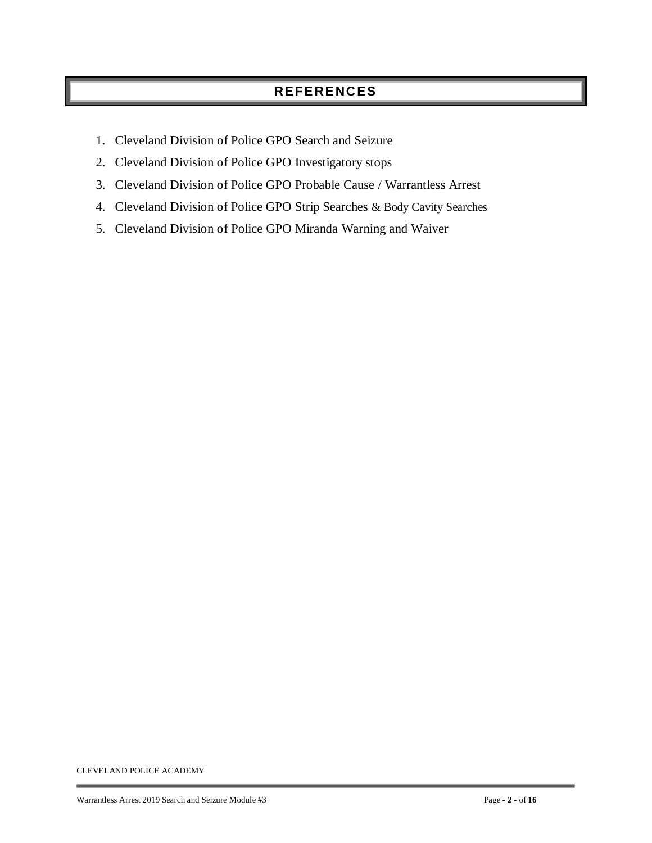# **REFERENCES**

- 1. Cleveland Division of Police GPO Search and Seizure
- 2. Cleveland Division of Police GPO Investigatory stops
- 3. Cleveland Division of Police GPO Probable Cause / Warrantless Arrest
- 4. Cleveland Division of Police GPO Strip Searches & Body Cavity Searches
- 5. Cleveland Division of Police GPO Miranda Warning and Waiver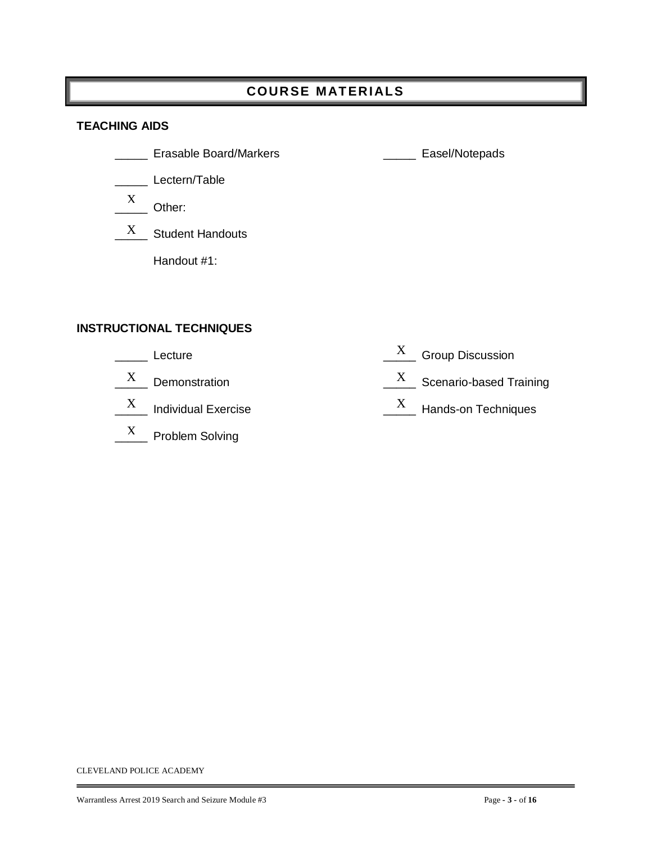# **COURSE MAT ERIALS**

#### **TEACHING AIDS**

- \_\_\_\_\_ Erasable Board/Markers \_\_\_\_\_ Easel/Notepads
- \_\_\_\_\_ Lectern/Table
- $\frac{X}{X}$  Other: X
- $\frac{X}{X}$  Student Handouts

Handout #1:

#### **INSTRUCTIONAL TECHNIQUES**

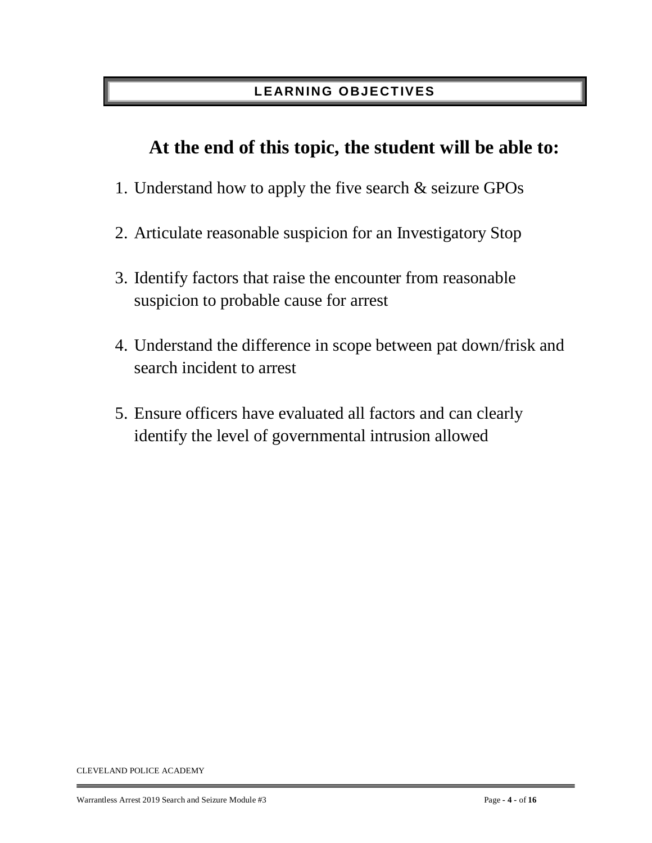# **LEARNING O BJECT IVES**

# **At the end of this topic, the student will be able to:**

- 1. Understand how to apply the five search & seizure GPOs
- 2. Articulate reasonable suspicion for an Investigatory Stop
- 3. Identify factors that raise the encounter from reasonable suspicion to probable cause for arrest
- 4. Understand the difference in scope between pat down/frisk and search incident to arrest
- 5. Ensure officers have evaluated all factors and can clearly identify the level of governmental intrusion allowed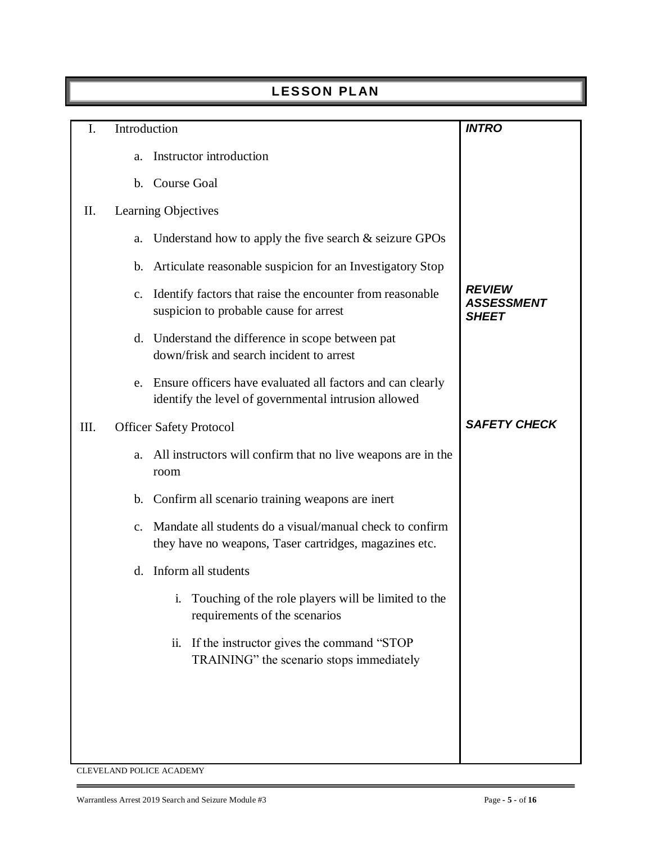|      | <b>LESSON PLAN</b> |                                                                                                                    |                                                    |  |  |  |
|------|--------------------|--------------------------------------------------------------------------------------------------------------------|----------------------------------------------------|--|--|--|
| I.   | Introduction       |                                                                                                                    | <b>INTRO</b>                                       |  |  |  |
|      | a.                 | Instructor introduction                                                                                            |                                                    |  |  |  |
|      | $\mathbf{b}$ .     | <b>Course Goal</b>                                                                                                 |                                                    |  |  |  |
| Π.   |                    | Learning Objectives                                                                                                |                                                    |  |  |  |
|      | a.                 | Understand how to apply the five search $\&$ seizure GPOs                                                          |                                                    |  |  |  |
|      | $\mathbf{b}$ .     | Articulate reasonable suspicion for an Investigatory Stop                                                          |                                                    |  |  |  |
|      | $\mathbf{c}$ .     | Identify factors that raise the encounter from reasonable<br>suspicion to probable cause for arrest                | <b>REVIEW</b><br><b>ASSESSMENT</b><br><b>SHEET</b> |  |  |  |
|      |                    | d. Understand the difference in scope between pat<br>down/frisk and search incident to arrest                      |                                                    |  |  |  |
|      | e.                 | Ensure officers have evaluated all factors and can clearly<br>identify the level of governmental intrusion allowed |                                                    |  |  |  |
| III. |                    | <b>Officer Safety Protocol</b>                                                                                     | <b>SAFETY CHECK</b>                                |  |  |  |
|      | a.                 | All instructors will confirm that no live weapons are in the<br>room                                               |                                                    |  |  |  |
|      | $\mathbf b$ .      | Confirm all scenario training weapons are inert                                                                    |                                                    |  |  |  |
|      | $\mathbf{c}$ .     | Mandate all students do a visual/manual check to confirm<br>they have no weapons, Taser cartridges, magazines etc. |                                                    |  |  |  |
|      |                    | d. Inform all students                                                                                             |                                                    |  |  |  |
|      |                    | Touching of the role players will be limited to the<br>i.<br>requirements of the scenarios                         |                                                    |  |  |  |
|      |                    | If the instructor gives the command "STOP"<br>$\overline{11}$ .<br>TRAINING" the scenario stops immediately        |                                                    |  |  |  |
|      |                    |                                                                                                                    |                                                    |  |  |  |
|      |                    |                                                                                                                    |                                                    |  |  |  |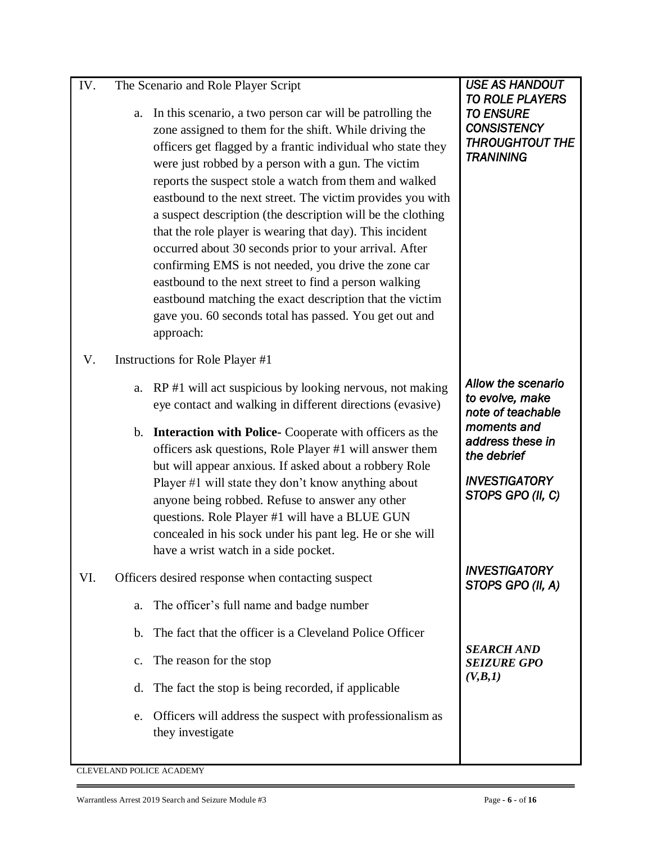| IV. | The Scenario and Role Player Script |  |  |
|-----|-------------------------------------|--|--|
|     |                                     |  |  |

- a. In this scenario, a two person car will be patrolling the zone assigned to them for the shift. While driving the officers get flagged by a frantic individual who state they were just robbed by a person with a gun. The victim reports the suspect stole a watch from them and walked eastbound to the next street. The victim provides you with a suspect description (the description will be the clothing that the role player is wearing that day). This incident occurred about 30 seconds prior to your arrival. After confirming EMS is not needed, you drive the zone car eastbound to the next street to find a person walking eastbound matching the exact description that the victim gave you. 60 seconds total has passed. You get out and approach:
- V. Instructions for Role Player #1
	- a. RP #1 will act suspicious by looking nervous, not making eye contact and walking in different directions (evasive)
	- b. **Interaction with Police-** Cooperate with officers as the officers ask questions, Role Player #1 will answer them but will appear anxious. If asked about a robbery Role Player #1 will state they don't know anything about anyone being robbed. Refuse to answer any other questions. Role Player #1 will have a BLUE GUN concealed in his sock under his pant leg. He or she will have a wrist watch in a side pocket.
- VI. Officers desired response when contacting suspect
	- a. The officer's full name and badge number
	- b. The fact that the officer is a Cleveland Police Officer
	- c. The reason for the stop
	- d. The fact the stop is being recorded, if applicable
	- e. Officers will address the suspect with professionalism as they investigate

#### *USE AS HANDOUT TO ROLE PLAYERS TO ENSURE CONSISTENCY THROUGHTOUT THE TRANINING*

*Allow the scenario to evolve, make note of teachable moments and address these in the debrief* 

*INVESTIGATORY STOPS GPO (II, C)* 

*INVESTIGATORY STOPS GPO (II, A)* 

*SEARCH AND SEIZURE GPO (V,B,1)*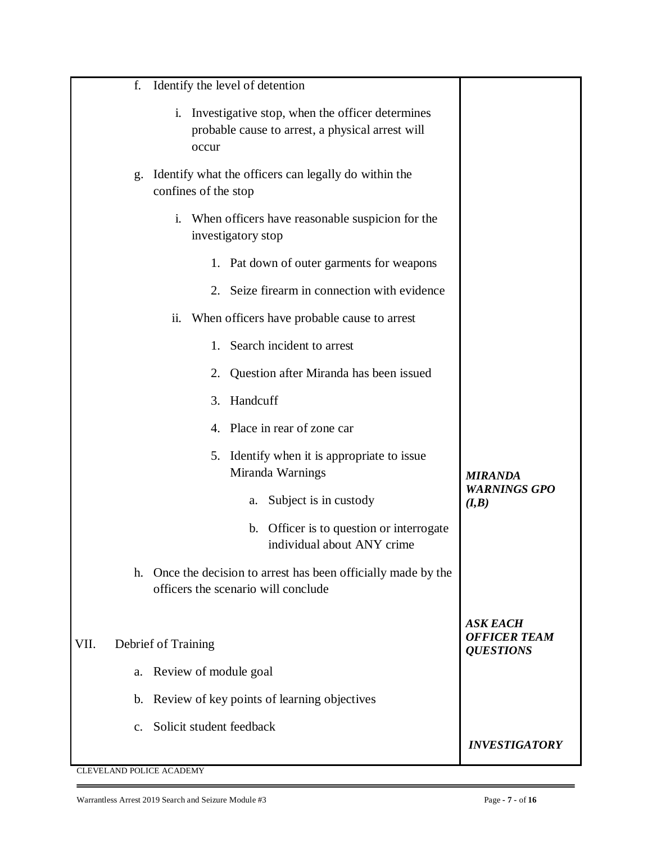|      | f.             | Identify the level of detention                                                                                                |                                                     |
|------|----------------|--------------------------------------------------------------------------------------------------------------------------------|-----------------------------------------------------|
|      |                | Investigative stop, when the officer determines<br>$\mathbf{i}$ .<br>probable cause to arrest, a physical arrest will<br>occur |                                                     |
|      | g.             | Identify what the officers can legally do within the<br>confines of the stop                                                   |                                                     |
|      |                | When officers have reasonable suspicion for the<br>$\mathbf{i}$ .<br>investigatory stop                                        |                                                     |
|      |                | 1. Pat down of outer garments for weapons                                                                                      |                                                     |
|      |                | Seize firearm in connection with evidence<br>2.                                                                                |                                                     |
|      |                | When officers have probable cause to arrest<br>ii.                                                                             |                                                     |
|      |                | Search incident to arrest<br>1.                                                                                                |                                                     |
|      |                | Question after Miranda has been issued<br>2.                                                                                   |                                                     |
|      |                | Handcuff<br>3.                                                                                                                 |                                                     |
|      |                | Place in rear of zone car<br>4.                                                                                                |                                                     |
|      |                | 5. Identify when it is appropriate to issue<br>Miranda Warnings                                                                | <b>MIRANDA</b>                                      |
|      |                | Subject is in custody<br>a.                                                                                                    | <b>WARNINGS GPO</b><br>(I, B)                       |
|      |                | Officer is to question or interrogate<br>$\mathbf b$ .<br>individual about ANY crime                                           |                                                     |
|      |                | h. Once the decision to arrest has been officially made by the<br>officers the scenario will conclude                          |                                                     |
| VII. |                | Debrief of Training                                                                                                            | ASK EACH<br><b>OFFICER TEAM</b><br><b>QUESTIONS</b> |
|      | a.             | Review of module goal                                                                                                          |                                                     |
|      |                | b. Review of key points of learning objectives                                                                                 |                                                     |
|      | $\mathbf{c}$ . | Solicit student feedback                                                                                                       |                                                     |
|      |                |                                                                                                                                | <b>INVESTIGATORY</b>                                |
|      |                | CLEVELAND POLICE ACADEMY                                                                                                       |                                                     |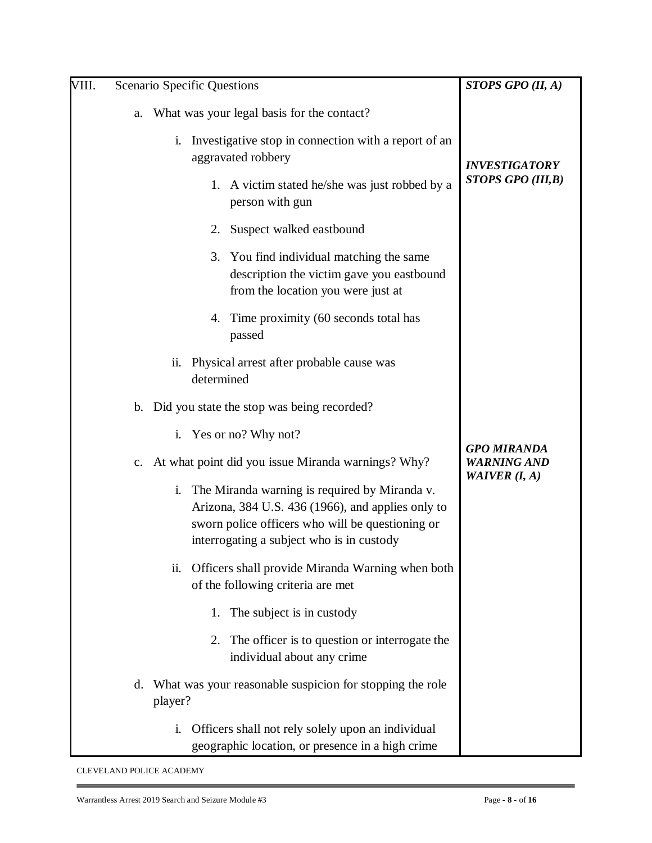| VIII. |    |         | <b>Scenario Specific Questions</b>            |                                                                                                                                                                                                     | STOPS GPO $(II, A)$                      |
|-------|----|---------|-----------------------------------------------|-----------------------------------------------------------------------------------------------------------------------------------------------------------------------------------------------------|------------------------------------------|
|       | a. |         |                                               | What was your legal basis for the contact?                                                                                                                                                          |                                          |
|       |    | i.      |                                               | Investigative stop in connection with a report of an<br>aggravated robbery                                                                                                                          | <b>INVESTIGATORY</b>                     |
|       |    |         |                                               | 1. A victim stated he/she was just robbed by a<br>person with gun                                                                                                                                   | STOPS GPO (III,B)                        |
|       |    |         | 2.                                            | Suspect walked eastbound                                                                                                                                                                            |                                          |
|       |    |         |                                               | 3. You find individual matching the same<br>description the victim gave you eastbound<br>from the location you were just at                                                                         |                                          |
|       |    |         | 4.                                            | Time proximity (60 seconds total has<br>passed                                                                                                                                                      |                                          |
|       |    | ii.     | determined                                    | Physical arrest after probable cause was                                                                                                                                                            |                                          |
|       |    |         | b. Did you state the stop was being recorded? |                                                                                                                                                                                                     |                                          |
|       |    | i.      |                                               | Yes or no? Why not?                                                                                                                                                                                 |                                          |
|       |    |         |                                               | c. At what point did you issue Miranda warnings? Why?                                                                                                                                               | <b>GPO MIRANDA</b><br><b>WARNING AND</b> |
|       |    | i.      |                                               | The Miranda warning is required by Miranda v.<br>Arizona, 384 U.S. 436 (1966), and applies only to<br>sworn police officers who will be questioning or<br>interrogating a subject who is in custody | WAIVER $(I, A)$                          |
|       |    | ii.     |                                               | Officers shall provide Miranda Warning when both<br>of the following criteria are met                                                                                                               |                                          |
|       |    |         | 1.                                            | The subject is in custody                                                                                                                                                                           |                                          |
|       |    |         | 2.                                            | The officer is to question or interrogate the<br>individual about any crime                                                                                                                         |                                          |
|       | d. | player? |                                               | What was your reasonable suspicion for stopping the role                                                                                                                                            |                                          |
|       |    | i.      |                                               | Officers shall not rely solely upon an individual<br>geographic location, or presence in a high crime                                                                                               |                                          |

Ė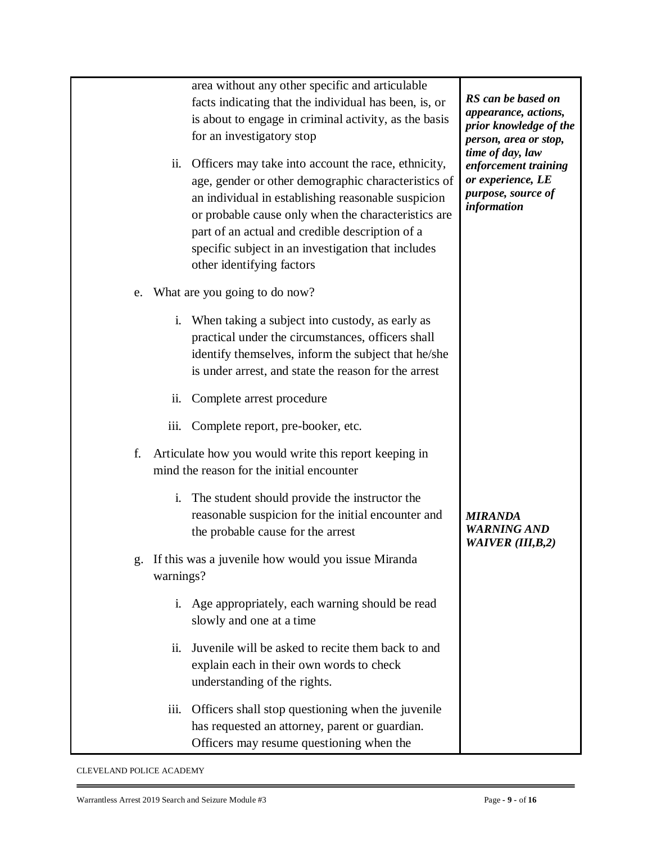| ii.  | area without any other specific and articulable<br>facts indicating that the individual has been, is, or<br>is about to engage in criminal activity, as the basis<br>for an investigatory stop<br>Officers may take into account the race, ethnicity,<br>age, gender or other demographic characteristics of<br>an individual in establishing reasonable suspicion<br>or probable cause only when the characteristics are<br>part of an actual and credible description of a<br>specific subject in an investigation that includes<br>other identifying factors | RS can be based on<br>appearance, actions,<br>prior knowledge of the<br>person, area or stop,<br>time of day, law<br>enforcement training<br>or experience, LE<br>purpose, source of<br>information |
|------|-----------------------------------------------------------------------------------------------------------------------------------------------------------------------------------------------------------------------------------------------------------------------------------------------------------------------------------------------------------------------------------------------------------------------------------------------------------------------------------------------------------------------------------------------------------------|-----------------------------------------------------------------------------------------------------------------------------------------------------------------------------------------------------|
| e.   | What are you going to do now?                                                                                                                                                                                                                                                                                                                                                                                                                                                                                                                                   |                                                                                                                                                                                                     |
|      | When taking a subject into custody, as early as<br>i.<br>practical under the circumstances, officers shall<br>identify themselves, inform the subject that he/she<br>is under arrest, and state the reason for the arrest                                                                                                                                                                                                                                                                                                                                       |                                                                                                                                                                                                     |
| ii.  | Complete arrest procedure                                                                                                                                                                                                                                                                                                                                                                                                                                                                                                                                       |                                                                                                                                                                                                     |
| iii. | Complete report, pre-booker, etc.                                                                                                                                                                                                                                                                                                                                                                                                                                                                                                                               |                                                                                                                                                                                                     |
| f.   | Articulate how you would write this report keeping in<br>mind the reason for the initial encounter                                                                                                                                                                                                                                                                                                                                                                                                                                                              |                                                                                                                                                                                                     |
|      | The student should provide the instructor the<br>i.<br>reasonable suspicion for the initial encounter and<br>the probable cause for the arrest                                                                                                                                                                                                                                                                                                                                                                                                                  | <b>MIRANDA</b><br><b>WARNING AND</b><br><b>WAIVER (III,B,2)</b>                                                                                                                                     |
| g.   | If this was a juvenile how would you issue Miranda<br>warnings?                                                                                                                                                                                                                                                                                                                                                                                                                                                                                                 |                                                                                                                                                                                                     |
|      | i. Age appropriately, each warning should be read<br>slowly and one at a time                                                                                                                                                                                                                                                                                                                                                                                                                                                                                   |                                                                                                                                                                                                     |
| ii.  | Juvenile will be asked to recite them back to and<br>explain each in their own words to check<br>understanding of the rights.                                                                                                                                                                                                                                                                                                                                                                                                                                   |                                                                                                                                                                                                     |
| iii. | Officers shall stop questioning when the juvenile<br>has requested an attorney, parent or guardian.<br>Officers may resume questioning when the                                                                                                                                                                                                                                                                                                                                                                                                                 |                                                                                                                                                                                                     |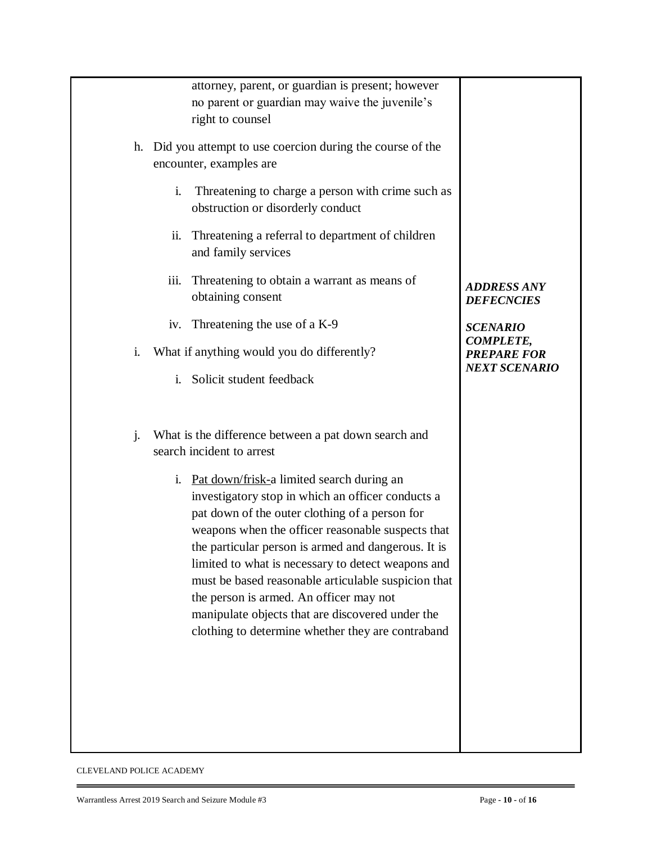|                | attorney, parent, or guardian is present; however<br>no parent or guardian may waive the juvenile's<br>right to counsel<br>h. Did you attempt to use coercion during the course of the<br>encounter, examples are<br>$\mathbf{i}$ .<br>Threatening to charge a person with crime such as<br>obstruction or disorderly conduct<br>Threatening a referral to department of children<br>ii.<br>and family services<br>Threatening to obtain a warrant as means of<br>iii.<br>obtaining consent<br>Threatening the use of a K-9<br>iv.                                                                                    | <b>ADDRESS ANY</b><br><b>DEFECNCIES</b><br><b>SCENARIO</b>     |
|----------------|-----------------------------------------------------------------------------------------------------------------------------------------------------------------------------------------------------------------------------------------------------------------------------------------------------------------------------------------------------------------------------------------------------------------------------------------------------------------------------------------------------------------------------------------------------------------------------------------------------------------------|----------------------------------------------------------------|
| i.             | What if anything would you do differently?<br>i.<br>Solicit student feedback                                                                                                                                                                                                                                                                                                                                                                                                                                                                                                                                          | <b>COMPLETE,</b><br><b>PREPARE FOR</b><br><b>NEXT SCENARIO</b> |
| $\mathbf{j}$ . | What is the difference between a pat down search and<br>search incident to arrest<br>i. Pat down/frisk-a limited search during an<br>investigatory stop in which an officer conducts a<br>pat down of the outer clothing of a person for<br>weapons when the officer reasonable suspects that<br>the particular person is armed and dangerous. It is<br>limited to what is necessary to detect weapons and<br>must be based reasonable articulable suspicion that<br>the person is armed. An officer may not<br>manipulate objects that are discovered under the<br>clothing to determine whether they are contraband |                                                                |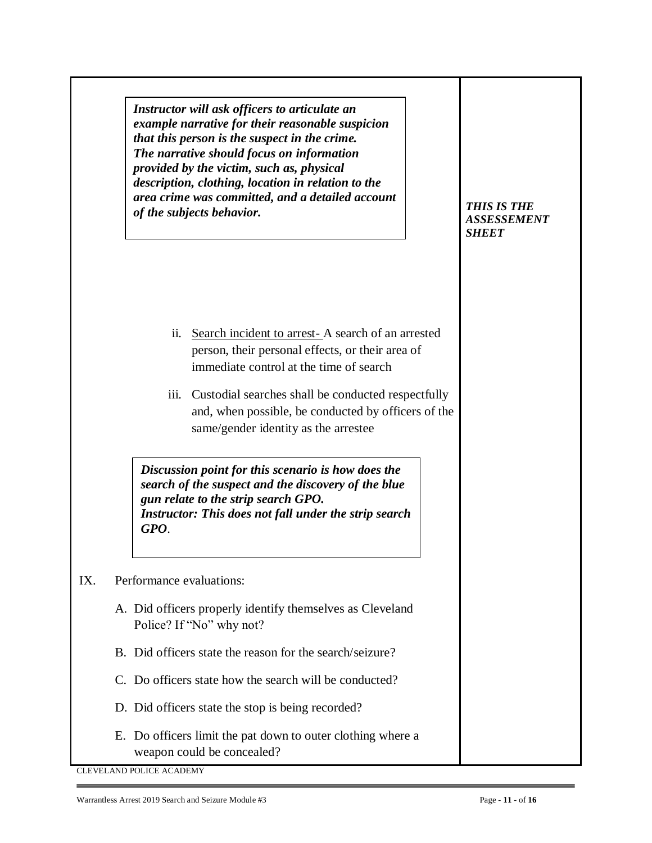| Instructor will ask officers to articulate an      |
|----------------------------------------------------|
| example narrative for their reasonable suspicion   |
| that this person is the suspect in the crime.      |
| The narrative should focus on information          |
| provided by the victim, such as, physical          |
| description, clothing, location in relation to the |
| area crime was committed, and a detailed account   |
| of the subjects behavior.                          |

- ii. Search incident to arrest- A search of an arrested person, their personal effects, or their area of immediate control at the time of search
- iii. Custodial searches shall be conducted respectfully and, when possible, be conducted by officers of the same/gender identity as the arrestee

*Discussion point for this scenario is how does the search of the suspect and the discovery of the blue gun relate to the strip search GPO. Instructor: This does not fall under the strip search GPO*.

#### IX. Performance evaluations:

- A. Did officers properly identify themselves as Cleveland Police? If "No" why not?
- B. Did officers state the reason for the search/seizure?
- C. Do officers state how the search will be conducted?
- D. Did officers state the stop is being recorded?
- E. Do officers limit the pat down to outer clothing where a weapon could be concealed?

CLEVELAND POLICE ACADEMY

# *ASSESSEMENT SHEET*

*THIS IS THE*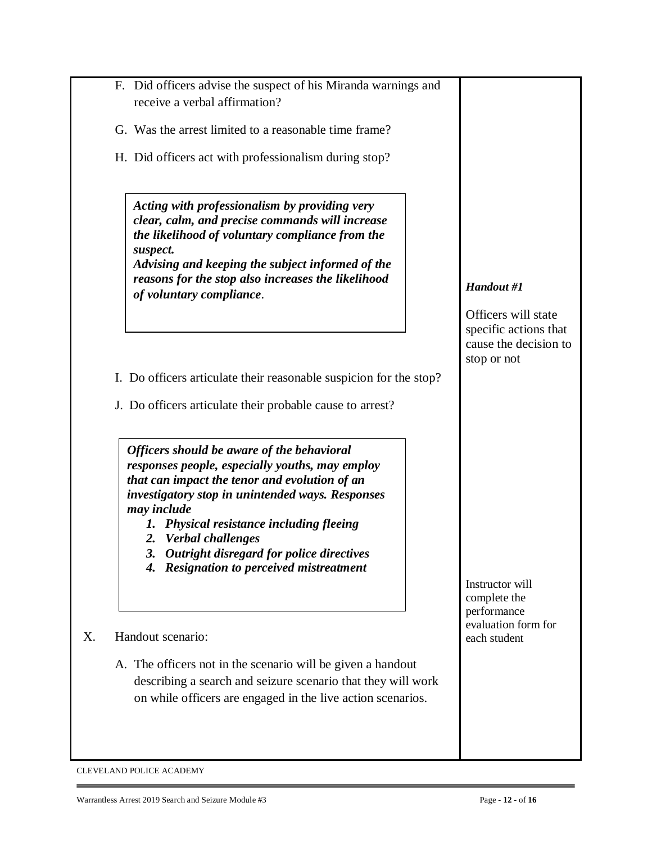| F. Did officers advise the suspect of his Miranda warnings and<br>receive a verbal affirmation?                                                                                                                                                                                                                                                                                  |                                                            |
|----------------------------------------------------------------------------------------------------------------------------------------------------------------------------------------------------------------------------------------------------------------------------------------------------------------------------------------------------------------------------------|------------------------------------------------------------|
| G. Was the arrest limited to a reasonable time frame?                                                                                                                                                                                                                                                                                                                            |                                                            |
| H. Did officers act with professionalism during stop?                                                                                                                                                                                                                                                                                                                            |                                                            |
| Acting with professionalism by providing very<br>clear, calm, and precise commands will increase<br>the likelihood of voluntary compliance from the<br>suspect.<br>Advising and keeping the subject informed of the<br>reasons for the stop also increases the likelihood<br>of voluntary compliance.                                                                            | Handout #1<br>Officers will state<br>specific actions that |
| I. Do officers articulate their reasonable suspicion for the stop?                                                                                                                                                                                                                                                                                                               | cause the decision to<br>stop or not                       |
| J. Do officers articulate their probable cause to arrest?                                                                                                                                                                                                                                                                                                                        |                                                            |
| Officers should be aware of the behavioral<br>responses people, especially youths, may employ<br>that can impact the tenor and evolution of an<br>investigatory stop in unintended ways. Responses<br>may include<br>1. Physical resistance including fleeing<br>2. Verbal challenges<br>3. Outright disregard for police directives<br>4. Resignation to perceived mistreatment | Instructor will<br>complete the                            |
| Handout scenario:                                                                                                                                                                                                                                                                                                                                                                | performance<br>evaluation form for<br>each student         |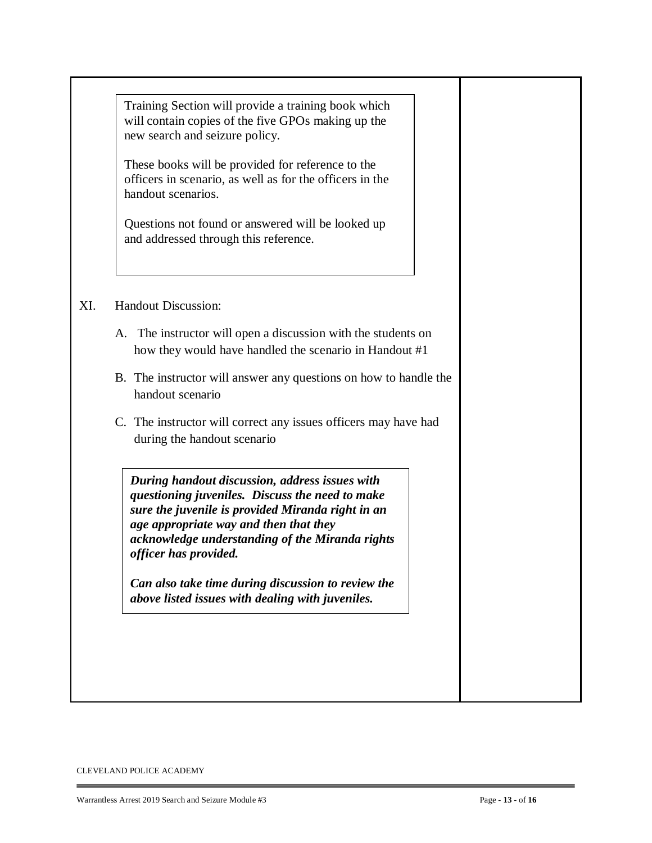XI. Handout Discussion: A. The instructor will open a discussion with the students on how they would have handled the scenario in Handout #1 B. The instructor will answer any questions on how to handle the handout scenario C. The instructor will correct any issues officers may have had during the handout scenario Training Section will provide a training book which will contain copies of the five GPOs making up the new search and seizure policy. These books will be provided for reference to the officers in scenario, as well as for the officers in the handout scenarios. Questions not found or answered will be looked up and addressed through this reference. *During handout discussion, address issues with questioning juveniles. Discuss the need to make sure the juvenile is provided Miranda right in an age appropriate way and then that they acknowledge understanding of the Miranda rights officer has provided. Can also take time during discussion to review the above listed issues with dealing with juveniles.*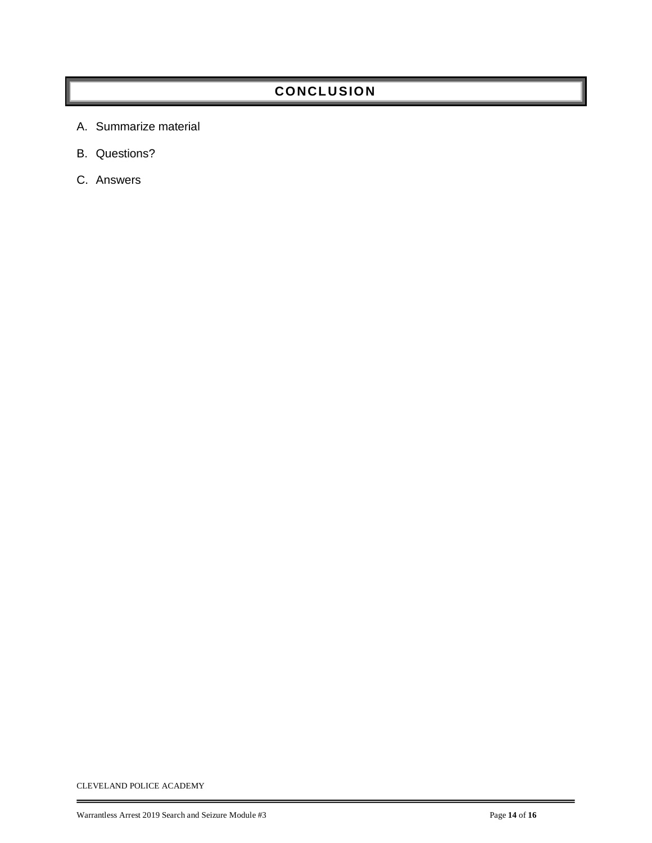# **CONCLUSIO N**

- A. Summarize material
- B. Questions?
- C. Answers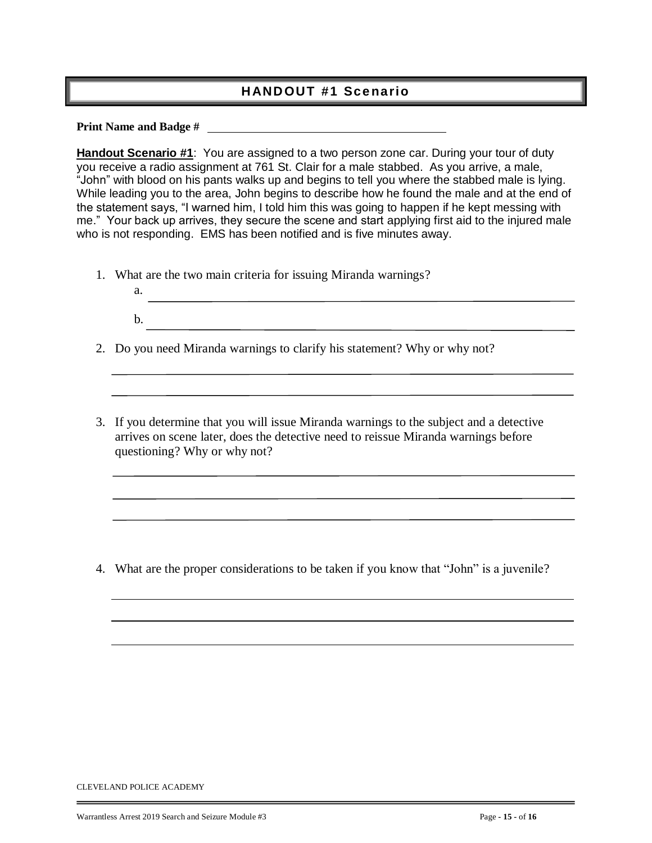### **HANDOUT #1 Scenario**

**Print Name and Badge #**

**Handout Scenario #1**: You are assigned to a two person zone car. During your tour of duty you receive a radio assignment at 761 St. Clair for a male stabbed. As you arrive, a male, "John" with blood on his pants walks up and begins to tell you where the stabbed male is lying. While leading you to the area, John begins to describe how he found the male and at the end of the statement says, "I warned him, I told him this was going to happen if he kept messing with me." Your back up arrives, they secure the scene and start applying first aid to the injured male who is not responding. EMS has been notified and is five minutes away.

1. What are the two main criteria for issuing Miranda warnings?

- 2. Do you need Miranda warnings to clarify his statement? Why or why not?
- 3. If you determine that you will issue Miranda warnings to the subject and a detective arrives on scene later, does the detective need to reissue Miranda warnings before questioning? Why or why not?

4. What are the proper considerations to be taken if you know that "John" is a juvenile?